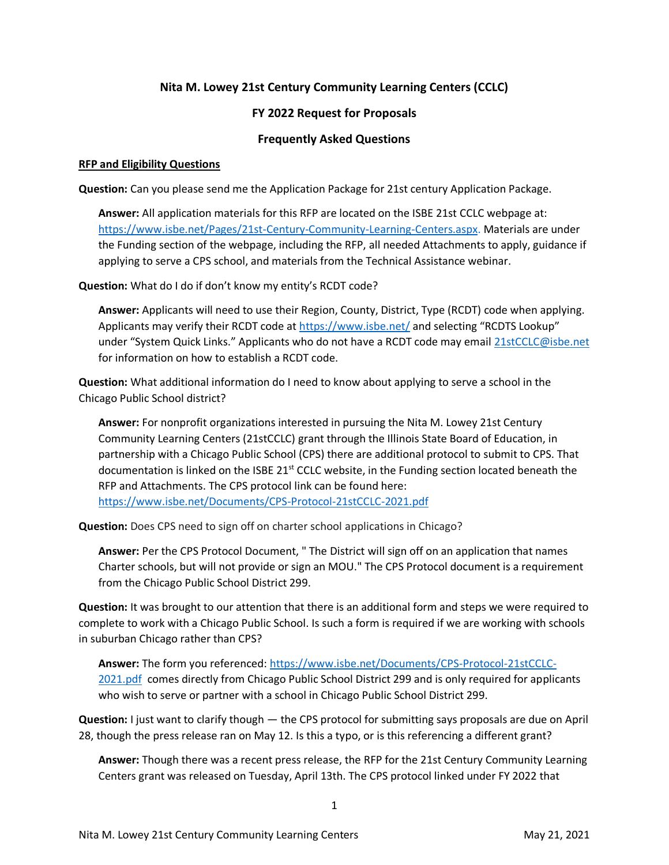# **Nita M. Lowey 21st Century Community Learning Centers (CCLC)**

# **FY 2022 Request for Proposals**

# **Frequently Asked Questions**

#### **RFP and Eligibility Questions**

**Question:** Can you please send me the Application Package for 21st century Application Package.

**Answer:** All application materials for this RFP are located on the ISBE 21st CCLC webpage at: [https://www.isbe.net/Pages/21st-Century-Community-Learning-Centers.aspx.](https://www.isbe.net/Pages/21st-Century-Community-Learning-Centers.aspx) Materials are under the Funding section of the webpage, including the RFP, all needed Attachments to apply, guidance if applying to serve a CPS school, and materials from the Technical Assistance webinar.

**Question:** What do I do if don't know my entity's RCDT code?

**Answer:** Applicants will need to use their Region, County, District, Type (RCDT) code when applying. Applicants may verify their RCDT code at<https://www.isbe.net/> and selecting "RCDTS Lookup" under "System Quick Links." Applicants who do not have a RCDT code may email [21stCCLC@isbe.net](mailto:21stCCLC@isbe.net) for information on how to establish a RCDT code.

**Question:** What additional information do I need to know about applying to serve a school in the Chicago Public School district?

**Answer:** For nonprofit organizations interested in pursuing the Nita M. Lowey 21st Century Community Learning Centers (21stCCLC) grant through the Illinois State Board of Education, in partnership with a Chicago Public School (CPS) there are additional protocol to submit to CPS. That documentation is linked on the ISBE  $21^{st}$  CCLC website, in the Funding section located beneath the RFP and Attachments. The CPS protocol link can be found here: <https://www.isbe.net/Documents/CPS-Protocol-21stCCLC-2021.pdf>

**Question:** Does CPS need to sign off on charter school applications in Chicago?

**Answer:** Per the CPS Protocol Document, " The District will sign off on an application that names Charter schools, but will not provide or sign an MOU." The CPS Protocol document is a requirement from the Chicago Public School District 299.

**Question:** It was brought to our attention that there is an additional form and steps we were required to complete to work with a Chicago Public School. Is such a form is required if we are working with schools in suburban Chicago rather than CPS?

**Answer:** The form you referenced: [https://www.isbe.net/Documents/CPS-Protocol-21stCCLC-](https://www.isbe.net/Documents/CPS-Protocol-21stCCLC-2021.pdf)[2021.pdf](https://www.isbe.net/Documents/CPS-Protocol-21stCCLC-2021.pdf) comes directly from Chicago Public School District 299 and is only required for applicants who wish to serve or partner with a school in Chicago Public School District 299.

**Question:** I just want to clarify though — the CPS protocol for submitting says proposals are due on April 28, though the press release ran on May 12. Is this a typo, or is this referencing a different grant?

**Answer:** Though there was a recent press release, the RFP for the 21st Century Community Learning Centers grant was released on Tuesday, April 13th. The CPS protocol linked under FY 2022 that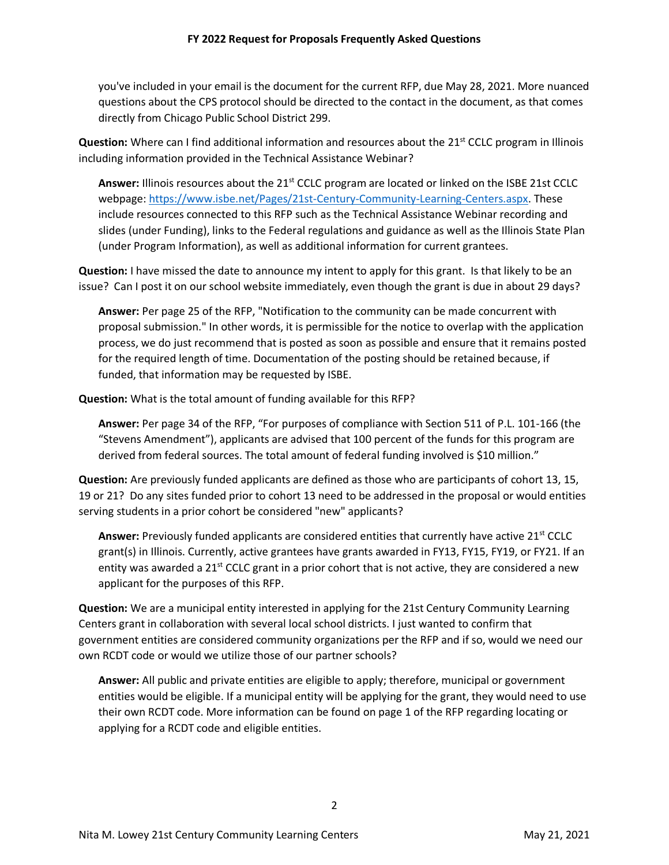you've included in your email is the document for the current RFP, due May 28, 2021. More nuanced questions about the CPS protocol should be directed to the contact in the document, as that comes directly from Chicago Public School District 299.

**Question:** Where can I find additional information and resources about the 21<sup>st</sup> CCLC program in Illinois including information provided in the Technical Assistance Webinar?

Answer: Illinois resources about the 21<sup>st</sup> CCLC program are located or linked on the ISBE 21st CCLC webpage: [https://www.isbe.net/Pages/21st-Century-Community-Learning-Centers.aspx.](https://www.isbe.net/Pages/21st-Century-Community-Learning-Centers.aspx) These include resources connected to this RFP such as the Technical Assistance Webinar recording and slides (under Funding), links to the Federal regulations and guidance as well as the Illinois State Plan (under Program Information), as well as additional information for current grantees.

**Question:** I have missed the date to announce my intent to apply for this grant. Is that likely to be an issue? Can I post it on our school website immediately, even though the grant is due in about 29 days?

**Answer:** Per page 25 of the RFP, "Notification to the community can be made concurrent with proposal submission." In other words, it is permissible for the notice to overlap with the application process, we do just recommend that is posted as soon as possible and ensure that it remains posted for the required length of time. Documentation of the posting should be retained because, if funded, that information may be requested by ISBE.

**Question:** What is the total amount of funding available for this RFP?

**Answer:** Per page 34 of the RFP, "For purposes of compliance with Section 511 of P.L. 101-166 (the "Stevens Amendment"), applicants are advised that 100 percent of the funds for this program are derived from federal sources. The total amount of federal funding involved is \$10 million."

**Question:** Are previously funded applicants are defined as those who are participants of cohort 13, 15, 19 or 21? Do any sites funded prior to cohort 13 need to be addressed in the proposal or would entities serving students in a prior cohort be considered "new" applicants?

**Answer:** Previously funded applicants are considered entities that currently have active 21<sup>st</sup> CCLC grant(s) in Illinois. Currently, active grantees have grants awarded in FY13, FY15, FY19, or FY21. If an entity was awarded a 21<sup>st</sup> CCLC grant in a prior cohort that is not active, they are considered a new applicant for the purposes of this RFP.

**Question:** We are a municipal entity interested in applying for the 21st Century Community Learning Centers grant in collaboration with several local school districts. I just wanted to confirm that government entities are considered community organizations per the RFP and if so, would we need our own RCDT code or would we utilize those of our partner schools?

**Answer:** All public and private entities are eligible to apply; therefore, municipal or government entities would be eligible. If a municipal entity will be applying for the grant, they would need to use their own RCDT code. More information can be found on page 1 of the RFP regarding locating or applying for a RCDT code and eligible entities.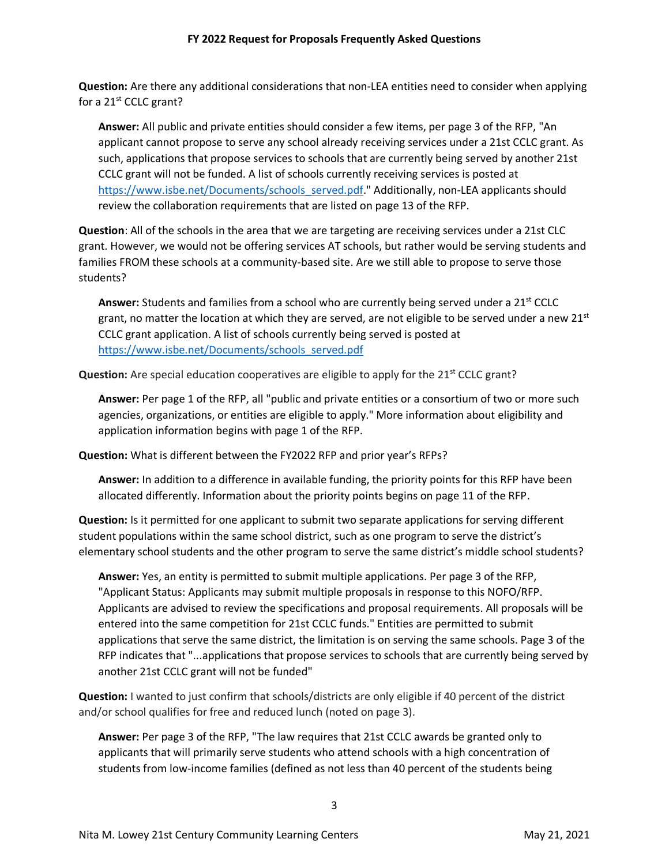**Question:** Are there any additional considerations that non-LEA entities need to consider when applying for a 21<sup>st</sup> CCLC grant?

**Answer:** All public and private entities should consider a few items, per page 3 of the RFP, "An applicant cannot propose to serve any school already receiving services under a 21st CCLC grant. As such, applications that propose services to schools that are currently being served by another 21st CCLC grant will not be funded. A list of schools currently receiving services is posted at [https://www.isbe.net/Documents/schools\\_served.pdf.](https://www.isbe.net/Documents/schools_served.pdf)" Additionally, non-LEA applicants should review the collaboration requirements that are listed on page 13 of the RFP.

**Question**: All of the schools in the area that we are targeting are receiving services under a 21st CLC grant. However, we would not be offering services AT schools, but rather would be serving students and families FROM these schools at a community-based site. Are we still able to propose to serve those students?

**Answer:** Students and families from a school who are currently being served under a 21<sup>st</sup> CCLC grant, no matter the location at which they are served, are not eligible to be served under a new 21st CCLC grant application. A list of schools currently being served is posted at [https://www.isbe.net/Documents/schools\\_served.pdf](https://www.isbe.net/Documents/schools_served.pdf)

**Question:** Are special education cooperatives are eligible to apply for the 21<sup>st</sup> CCLC grant?

**Answer:** Per page 1 of the RFP, all "public and private entities or a consortium of two or more such agencies, organizations, or entities are eligible to apply." More information about eligibility and application information begins with page 1 of the RFP.

**Question:** What is different between the FY2022 RFP and prior year's RFPs?

**Answer:** In addition to a difference in available funding, the priority points for this RFP have been allocated differently. Information about the priority points begins on page 11 of the RFP.

**Question:** Is it permitted for one applicant to submit two separate applications for serving different student populations within the same school district, such as one program to serve the district's elementary school students and the other program to serve the same district's middle school students?

**Answer:** Yes, an entity is permitted to submit multiple applications. Per page 3 of the RFP, "Applicant Status: Applicants may submit multiple proposals in response to this NOFO/RFP. Applicants are advised to review the specifications and proposal requirements. All proposals will be entered into the same competition for 21st CCLC funds." Entities are permitted to submit applications that serve the same district, the limitation is on serving the same schools. Page 3 of the RFP indicates that "...applications that propose services to schools that are currently being served by another 21st CCLC grant will not be funded"

**Question:** I wanted to just confirm that schools/districts are only eligible if 40 percent of the district and/or school qualifies for free and reduced lunch (noted on page 3).

**Answer:** Per page 3 of the RFP, "The law requires that 21st CCLC awards be granted only to applicants that will primarily serve students who attend schools with a high concentration of students from low-income families (defined as not less than 40 percent of the students being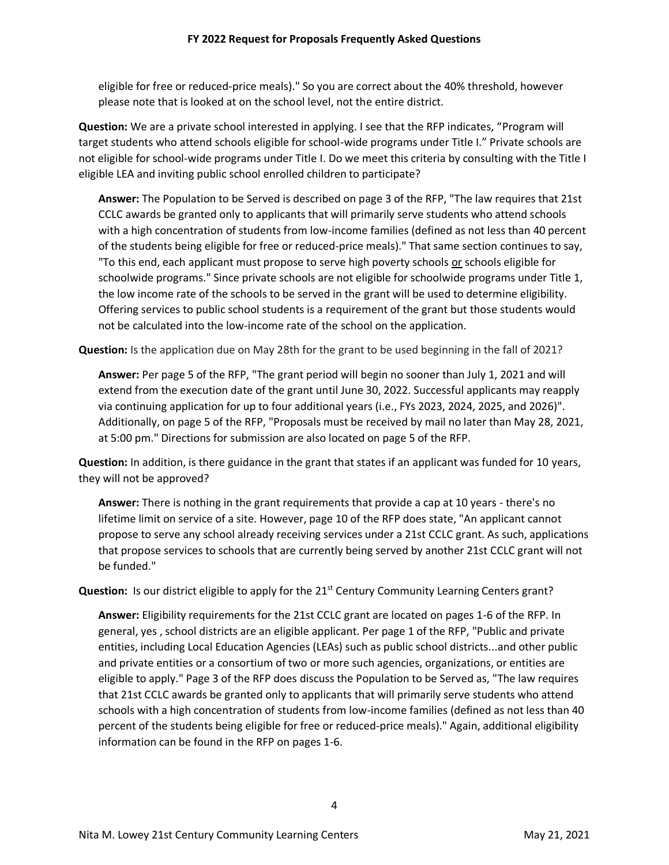eligible for free or reduced-price meals)." So you are correct about the 40% threshold, however please note that is looked at on the school level, not the entire district.

**Question:** We are a private school interested in applying. I see that the RFP indicates, "Program will target students who attend schools eligible for school-wide programs under Title I." Private schools are not eligible for school-wide programs under Title I. Do we meet this criteria by consulting with the Title I eligible LEA and inviting public school enrolled children to participate?

**Answer:** The Population to be Served is described on page 3 of the RFP, "The law requires that 21st CCLC awards be granted only to applicants that will primarily serve students who attend schools with a high concentration of students from low-income families (defined as not less than 40 percent of the students being eligible for free or reduced-price meals)." That same section continues to say, "To this end, each applicant must propose to serve high poverty schools or schools eligible for schoolwide programs." Since private schools are not eligible for schoolwide programs under Title 1, the low income rate of the schools to be served in the grant will be used to determine eligibility. Offering services to public school students is a requirement of the grant but those students would not be calculated into the low-income rate of the school on the application.

**Question:** Is the application due on May 28th for the grant to be used beginning in the fall of 2021?

**Answer:** Per page 5 of the RFP, "The grant period will begin no sooner than July 1, 2021 and will extend from the execution date of the grant until June 30, 2022. Successful applicants may reapply via continuing application for up to four additional years (i.e., FYs 2023, 2024, 2025, and 2026)". Additionally, on page 5 of the RFP, "Proposals must be received by mail no later than May 28, 2021, at 5:00 pm." Directions for submission are also located on page 5 of the RFP.

**Question:** In addition, is there guidance in the grant that states if an applicant was funded for 10 years, they will not be approved?

**Answer:** There is nothing in the grant requirements that provide a cap at 10 years - there's no lifetime limit on service of a site. However, page 10 of the RFP does state, "An applicant cannot propose to serve any school already receiving services under a 21st CCLC grant. As such, applications that propose services to schools that are currently being served by another 21st CCLC grant will not be funded."

**Question:** Is our district eligible to apply for the 21<sup>st</sup> Century Community Learning Centers grant?

**Answer:** Eligibility requirements for the 21st CCLC grant are located on pages 1-6 of the RFP. In general, yes , school districts are an eligible applicant. Per page 1 of the RFP, "Public and private entities, including Local Education Agencies (LEAs) such as public school districts...and other public and private entities or a consortium of two or more such agencies, organizations, or entities are eligible to apply." Page 3 of the RFP does discuss the Population to be Served as, "The law requires that 21st CCLC awards be granted only to applicants that will primarily serve students who attend schools with a high concentration of students from low-income families (defined as not less than 40 percent of the students being eligible for free or reduced-price meals)." Again, additional eligibility information can be found in the RFP on pages 1-6.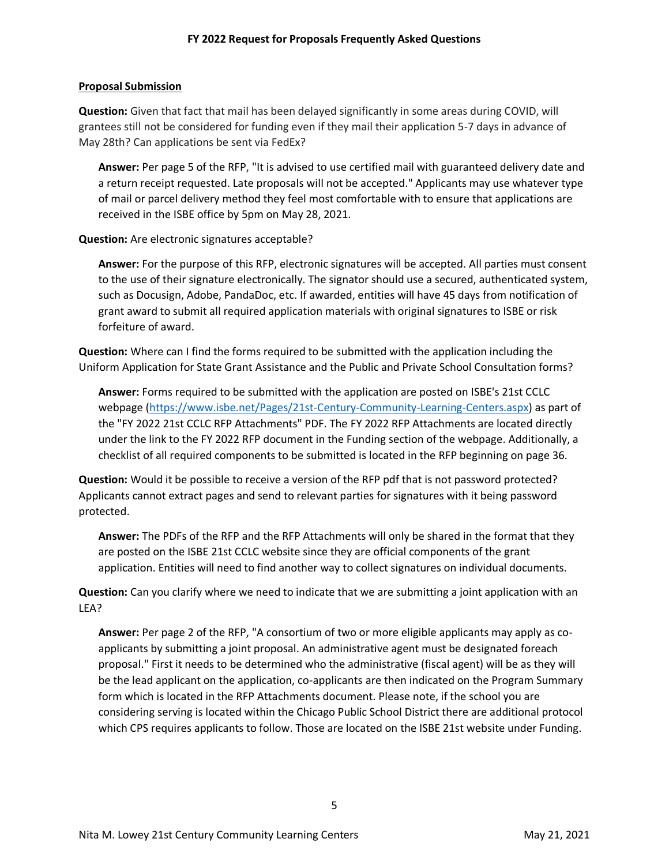#### **Proposal Submission**

**Question:** Given that fact that mail has been delayed significantly in some areas during COVID, will grantees still not be considered for funding even if they mail their application 5-7 days in advance of May 28th? Can applications be sent via FedEx?

**Answer:** Per page 5 of the RFP, "It is advised to use certified mail with guaranteed delivery date and a return receipt requested. Late proposals will not be accepted." Applicants may use whatever type of mail or parcel delivery method they feel most comfortable with to ensure that applications are received in the ISBE office by 5pm on May 28, 2021.

#### **Question:** Are electronic signatures acceptable?

**Answer:** For the purpose of this RFP, electronic signatures will be accepted. All parties must consent to the use of their signature electronically. The signator should use a secured, authenticated system, such as Docusign, Adobe, PandaDoc, etc. If awarded, entities will have 45 days from notification of grant award to submit all required application materials with original signatures to ISBE or risk forfeiture of award.

**Question:** Where can I find the forms required to be submitted with the application including the Uniform Application for State Grant Assistance and the Public and Private School Consultation forms?

**Answer:** Forms required to be submitted with the application are posted on ISBE's 21st CCLC webpage [\(https://www.isbe.net/Pages/21st-Century-Community-Learning-Centers.aspx\)](https://www.isbe.net/Pages/21st-Century-Community-Learning-Centers.aspx) as part of the "FY 2022 21st CCLC RFP Attachments" PDF. The FY 2022 RFP Attachments are located directly under the link to the FY 2022 RFP document in the Funding section of the webpage. Additionally, a checklist of all required components to be submitted is located in the RFP beginning on page 36.

**Question:** Would it be possible to receive a version of the RFP pdf that is not password protected? Applicants cannot extract pages and send to relevant parties for signatures with it being password protected.

**Answer:** The PDFs of the RFP and the RFP Attachments will only be shared in the format that they are posted on the ISBE 21st CCLC website since they are official components of the grant application. Entities will need to find another way to collect signatures on individual documents.

**Question:** Can you clarify where we need to indicate that we are submitting a joint application with an LEA?

**Answer:** Per page 2 of the RFP, "A consortium of two or more eligible applicants may apply as coapplicants by submitting a joint proposal. An administrative agent must be designated foreach proposal." First it needs to be determined who the administrative (fiscal agent) will be as they will be the lead applicant on the application, co-applicants are then indicated on the Program Summary form which is located in the RFP Attachments document. Please note, if the school you are considering serving is located within the Chicago Public School District there are additional protocol which CPS requires applicants to follow. Those are located on the ISBE 21st website under Funding.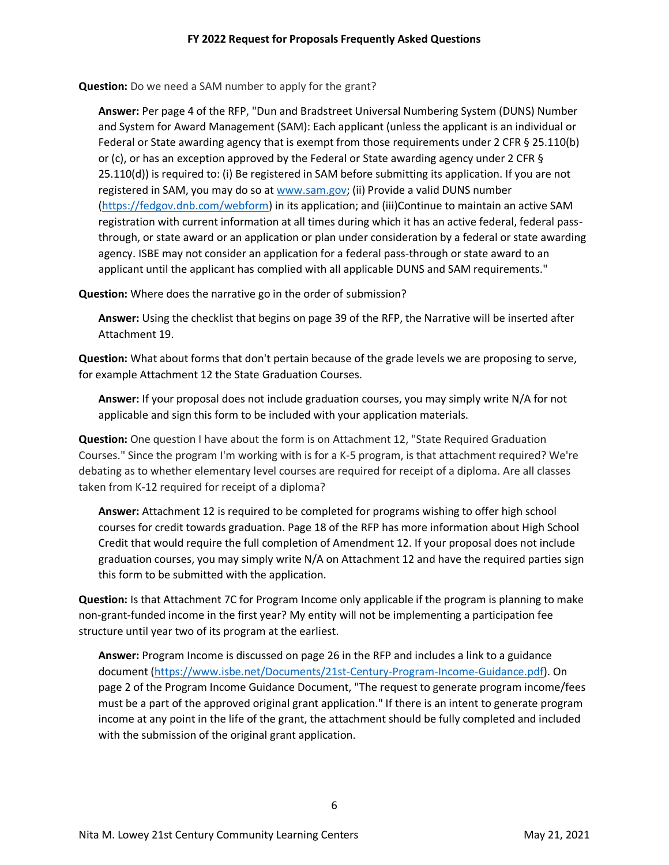**Question:** Do we need a SAM number to apply for the grant?

**Answer:** Per page 4 of the RFP, "Dun and Bradstreet Universal Numbering System (DUNS) Number and System for Award Management (SAM): Each applicant (unless the applicant is an individual or Federal or State awarding agency that is exempt from those requirements under 2 CFR § 25.110(b) or (c), or has an exception approved by the Federal or State awarding agency under 2 CFR § 25.110(d)) is required to: (i) Be registered in SAM before submitting its application. If you are not registered in SAM, you may do so at www.sam.gov; (ii) Provide a valid DUNS number [\(https://fedgov.dnb.com/webform\)](https://fedgov.dnb.com/webform) in its application; and (iii)Continue to maintain an active SAM registration with current information at all times during which it has an active federal, federal passthrough, or state award or an application or plan under consideration by a federal or state awarding agency. ISBE may not consider an application for a federal pass-through or state award to an applicant until the applicant has complied with all applicable DUNS and SAM requirements."

**Question:** Where does the narrative go in the order of submission?

**Answer:** Using the checklist that begins on page 39 of the RFP, the Narrative will be inserted after Attachment 19.

**Question:** What about forms that don't pertain because of the grade levels we are proposing to serve, for example Attachment 12 the State Graduation Courses.

**Answer:** If your proposal does not include graduation courses, you may simply write N/A for not applicable and sign this form to be included with your application materials.

**Question:** One question I have about the form is on Attachment 12, "State Required Graduation Courses." Since the program I'm working with is for a K-5 program, is that attachment required? We're debating as to whether elementary level courses are required for receipt of a diploma. Are all classes taken from K-12 required for receipt of a diploma?

**Answer:** Attachment 12 is required to be completed for programs wishing to offer high school courses for credit towards graduation. Page 18 of the RFP has more information about High School Credit that would require the full completion of Amendment 12. If your proposal does not include graduation courses, you may simply write N/A on Attachment 12 and have the required parties sign this form to be submitted with the application.

**Question:** Is that Attachment 7C for Program Income only applicable if the program is planning to make non-grant-funded income in the first year? My entity will not be implementing a participation fee structure until year two of its program at the earliest.

**Answer:** Program Income is discussed on page 26 in the RFP and includes a link to a guidance document [\(https://www.isbe.net/Documents/21st-Century-Program-Income-Guidance.pdf\)](https://www.isbe.net/Documents/21st-Century-Program-Income-Guidance.pdf). On page 2 of the Program Income Guidance Document, "The request to generate program income/fees must be a part of the approved original grant application." If there is an intent to generate program income at any point in the life of the grant, the attachment should be fully completed and included with the submission of the original grant application.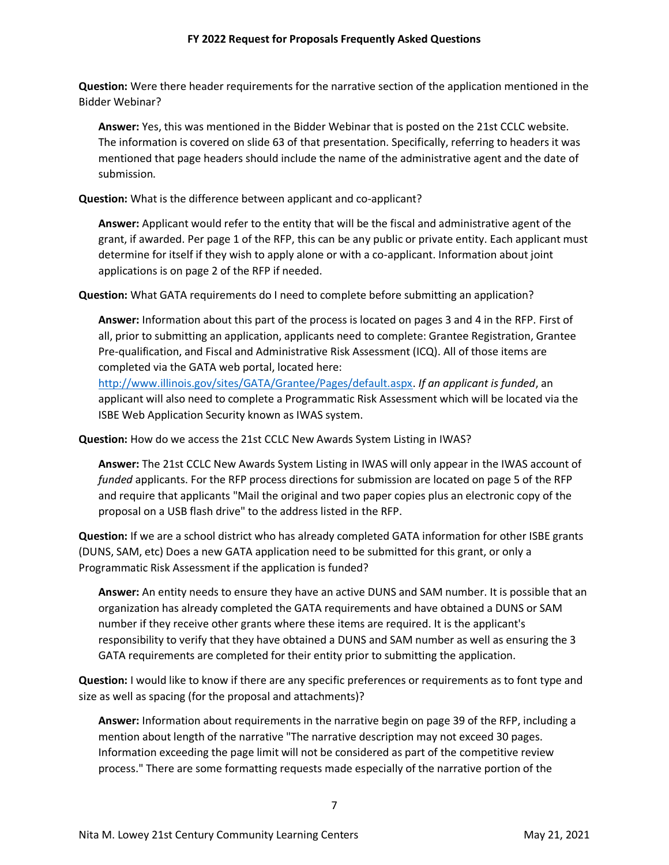**Question:** Were there header requirements for the narrative section of the application mentioned in the Bidder Webinar?

**Answer:** Yes, this was mentioned in the Bidder Webinar that is posted on the 21st CCLC website. The information is covered on slide 63 of that presentation. Specifically, referring to headers it was mentioned that page headers should include the name of the administrative agent and the date of submission.

**Question:** What is the difference between applicant and co-applicant?

**Answer:** Applicant would refer to the entity that will be the fiscal and administrative agent of the grant, if awarded. Per page 1 of the RFP, this can be any public or private entity. Each applicant must determine for itself if they wish to apply alone or with a co-applicant. Information about joint applications is on page 2 of the RFP if needed.

**Question:** What GATA requirements do I need to complete before submitting an application?

**Answer:** Information about this part of the process is located on pages 3 and 4 in the RFP. First of all, prior to submitting an application, applicants need to complete: Grantee Registration, Grantee Pre-qualification, and Fiscal and Administrative Risk Assessment (ICQ). All of those items are completed via the GATA web portal, located here:

[http://www.illinois.gov/sites/GATA/Grantee/Pages/default.aspx.](http://www.illinois.gov/sites/GATA/Grantee/Pages/default.aspx) *If an applicant is funded*, an applicant will also need to complete a Programmatic Risk Assessment which will be located via the ISBE Web Application Security known as IWAS system.

**Question:** How do we access the 21st CCLC New Awards System Listing in IWAS?

**Answer:** The 21st CCLC New Awards System Listing in IWAS will only appear in the IWAS account of *funded* applicants. For the RFP process directions for submission are located on page 5 of the RFP and require that applicants "Mail the original and two paper copies plus an electronic copy of the proposal on a USB flash drive" to the address listed in the RFP.

**Question:** If we are a school district who has already completed GATA information for other ISBE grants (DUNS, SAM, etc) Does a new GATA application need to be submitted for this grant, or only a Programmatic Risk Assessment if the application is funded?

**Answer:** An entity needs to ensure they have an active DUNS and SAM number. It is possible that an organization has already completed the GATA requirements and have obtained a DUNS or SAM number if they receive other grants where these items are required. It is the applicant's responsibility to verify that they have obtained a DUNS and SAM number as well as ensuring the 3 GATA requirements are completed for their entity prior to submitting the application.

**Question:** I would like to know if there are any specific preferences or requirements as to font type and size as well as spacing (for the proposal and attachments)?

**Answer:** Information about requirements in the narrative begin on page 39 of the RFP, including a mention about length of the narrative "The narrative description may not exceed 30 pages. Information exceeding the page limit will not be considered as part of the competitive review process." There are some formatting requests made especially of the narrative portion of the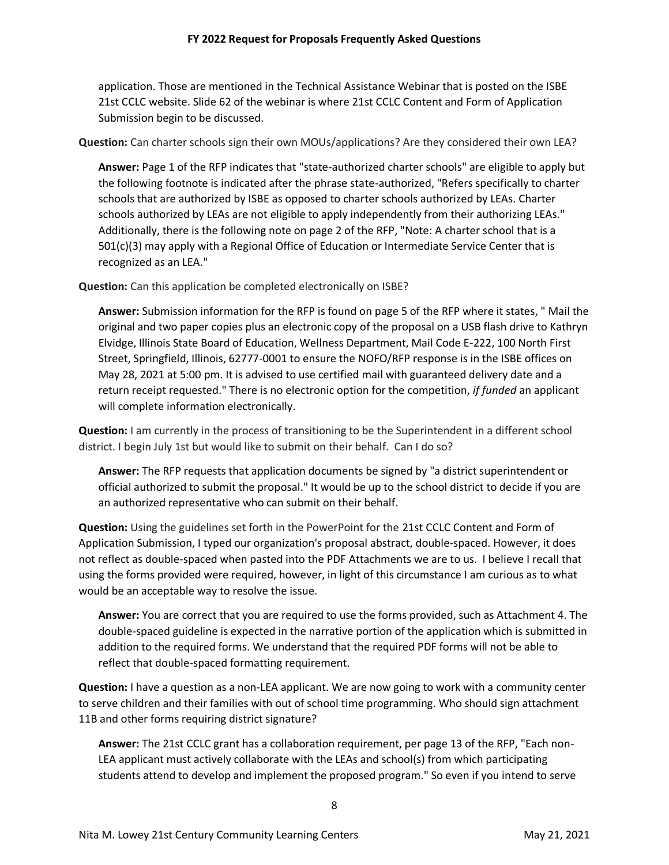application. Those are mentioned in the Technical Assistance Webinar that is posted on the ISBE 21st CCLC website. Slide 62 of the webinar is where 21st CCLC Content and Form of Application Submission begin to be discussed.

**Question:** Can charter schools sign their own MOUs/applications? Are they considered their own LEA?

**Answer:** Page 1 of the RFP indicates that "state-authorized charter schools" are eligible to apply but the following footnote is indicated after the phrase state-authorized, "Refers specifically to charter schools that are authorized by ISBE as opposed to charter schools authorized by LEAs. Charter schools authorized by LEAs are not eligible to apply independently from their authorizing LEAs." Additionally, there is the following note on page 2 of the RFP, "Note: A charter school that is a 501(c)(3) may apply with a Regional Office of Education or Intermediate Service Center that is recognized as an LEA."

**Question:** Can this application be completed electronically on ISBE?

**Answer:** Submission information for the RFP is found on page 5 of the RFP where it states, " Mail the original and two paper copies plus an electronic copy of the proposal on a USB flash drive to Kathryn Elvidge, Illinois State Board of Education, Wellness Department, Mail Code E-222, 100 North First Street, Springfield, Illinois, 62777-0001 to ensure the NOFO/RFP response is in the ISBE offices on May 28, 2021 at 5:00 pm. It is advised to use certified mail with guaranteed delivery date and a return receipt requested." There is no electronic option for the competition, *if funded* an applicant will complete information electronically.

**Question:** I am currently in the process of transitioning to be the Superintendent in a different school district. I begin July 1st but would like to submit on their behalf. Can I do so?

**Answer:** The RFP requests that application documents be signed by "a district superintendent or official authorized to submit the proposal." It would be up to the school district to decide if you are an authorized representative who can submit on their behalf.

**Question:** Using the guidelines set forth in the PowerPoint for the 21st CCLC Content and Form of Application Submission, I typed our organization's proposal abstract, double-spaced. However, it does not reflect as double-spaced when pasted into the PDF Attachments we are to us. I believe I recall that using the forms provided were required, however, in light of this circumstance I am curious as to what would be an acceptable way to resolve the issue.

**Answer:** You are correct that you are required to use the forms provided, such as Attachment 4. The double-spaced guideline is expected in the narrative portion of the application which is submitted in addition to the required forms. We understand that the required PDF forms will not be able to reflect that double-spaced formatting requirement.

**Question:** I have a question as a non-LEA applicant. We are now going to work with a community center to serve children and their families with out of school time programming. Who should sign attachment 11B and other forms requiring district signature?

**Answer:** The 21st CCLC grant has a collaboration requirement, per page 13 of the RFP, "Each non-LEA applicant must actively collaborate with the LEAs and school(s) from which participating students attend to develop and implement the proposed program." So even if you intend to serve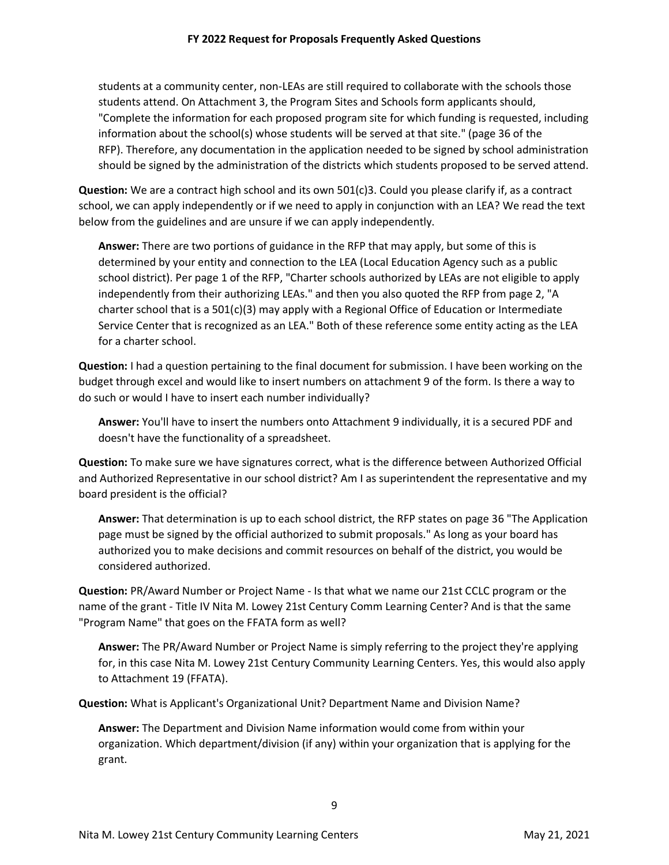students at a community center, non-LEAs are still required to collaborate with the schools those students attend. On Attachment 3, the Program Sites and Schools form applicants should, "Complete the information for each proposed program site for which funding is requested, including information about the school(s) whose students will be served at that site." (page 36 of the RFP). Therefore, any documentation in the application needed to be signed by school administration should be signed by the administration of the districts which students proposed to be served attend.

**Question:** We are a contract high school and its own 501(c)3. Could you please clarify if, as a contract school, we can apply independently or if we need to apply in conjunction with an LEA? We read the text below from the guidelines and are unsure if we can apply independently.

**Answer:** There are two portions of guidance in the RFP that may apply, but some of this is determined by your entity and connection to the LEA (Local Education Agency such as a public school district). Per page 1 of the RFP, "Charter schools authorized by LEAs are not eligible to apply independently from their authorizing LEAs." and then you also quoted the RFP from page 2, "A charter school that is a 501(c)(3) may apply with a Regional Office of Education or Intermediate Service Center that is recognized as an LEA." Both of these reference some entity acting as the LEA for a charter school.

**Question:** I had a question pertaining to the final document for submission. I have been working on the budget through excel and would like to insert numbers on attachment 9 of the form. Is there a way to do such or would I have to insert each number individually?

**Answer:** You'll have to insert the numbers onto Attachment 9 individually, it is a secured PDF and doesn't have the functionality of a spreadsheet.

**Question:** To make sure we have signatures correct, what is the difference between Authorized Official and Authorized Representative in our school district? Am I as superintendent the representative and my board president is the official?

**Answer:** That determination is up to each school district, the RFP states on page 36 "The Application page must be signed by the official authorized to submit proposals." As long as your board has authorized you to make decisions and commit resources on behalf of the district, you would be considered authorized.

**Question:** PR/Award Number or Project Name - Is that what we name our 21st CCLC program or the name of the grant - Title IV Nita M. Lowey 21st Century Comm Learning Center? And is that the same "Program Name" that goes on the FFATA form as well?

**Answer:** The PR/Award Number or Project Name is simply referring to the project they're applying for, in this case Nita M. Lowey 21st Century Community Learning Centers. Yes, this would also apply to Attachment 19 (FFATA).

**Question:** What is Applicant's Organizational Unit? Department Name and Division Name?

**Answer:** The Department and Division Name information would come from within your organization. Which department/division (if any) within your organization that is applying for the grant.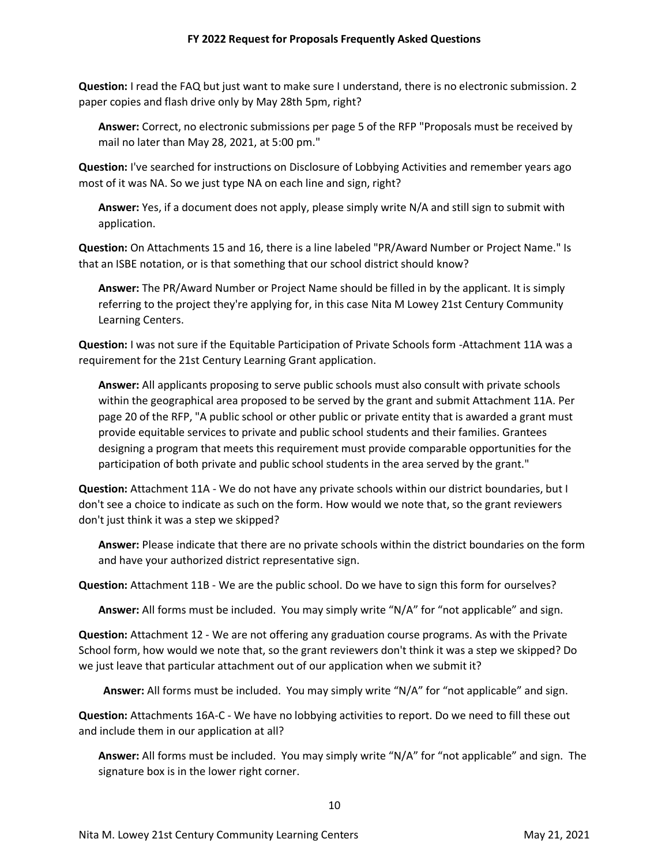**Question:** I read the FAQ but just want to make sure I understand, there is no electronic submission. 2 paper copies and flash drive only by May 28th 5pm, right?

**Answer:** Correct, no electronic submissions per page 5 of the RFP "Proposals must be received by mail no later than May 28, 2021, at 5:00 pm."

**Question:** I've searched for instructions on Disclosure of Lobbying Activities and remember years ago most of it was NA. So we just type NA on each line and sign, right?

**Answer:** Yes, if a document does not apply, please simply write N/A and still sign to submit with application.

**Question:** On Attachments 15 and 16, there is a line labeled "PR/Award Number or Project Name." Is that an ISBE notation, or is that something that our school district should know?

**Answer:** The PR/Award Number or Project Name should be filled in by the applicant. It is simply referring to the project they're applying for, in this case Nita M Lowey 21st Century Community Learning Centers.

**Question:** I was not sure if the Equitable Participation of Private Schools form -Attachment 11A was a requirement for the 21st Century Learning Grant application.

**Answer:** All applicants proposing to serve public schools must also consult with private schools within the geographical area proposed to be served by the grant and submit Attachment 11A. Per page 20 of the RFP, "A public school or other public or private entity that is awarded a grant must provide equitable services to private and public school students and their families. Grantees designing a program that meets this requirement must provide comparable opportunities for the participation of both private and public school students in the area served by the grant."

**Question:** Attachment 11A - We do not have any private schools within our district boundaries, but I don't see a choice to indicate as such on the form. How would we note that, so the grant reviewers don't just think it was a step we skipped?

**Answer:** Please indicate that there are no private schools within the district boundaries on the form and have your authorized district representative sign.

**Question:** Attachment 11B - We are the public school. Do we have to sign this form for ourselves?

**Answer:** All forms must be included. You may simply write "N/A" for "not applicable" and sign.

**Question:** Attachment 12 - We are not offering any graduation course programs. As with the Private School form, how would we note that, so the grant reviewers don't think it was a step we skipped? Do we just leave that particular attachment out of our application when we submit it?

**Answer:** All forms must be included. You may simply write "N/A" for "not applicable" and sign.

**Question:** Attachments 16A-C - We have no lobbying activities to report. Do we need to fill these out and include them in our application at all?

**Answer:** All forms must be included. You may simply write "N/A" for "not applicable" and sign. The signature box is in the lower right corner.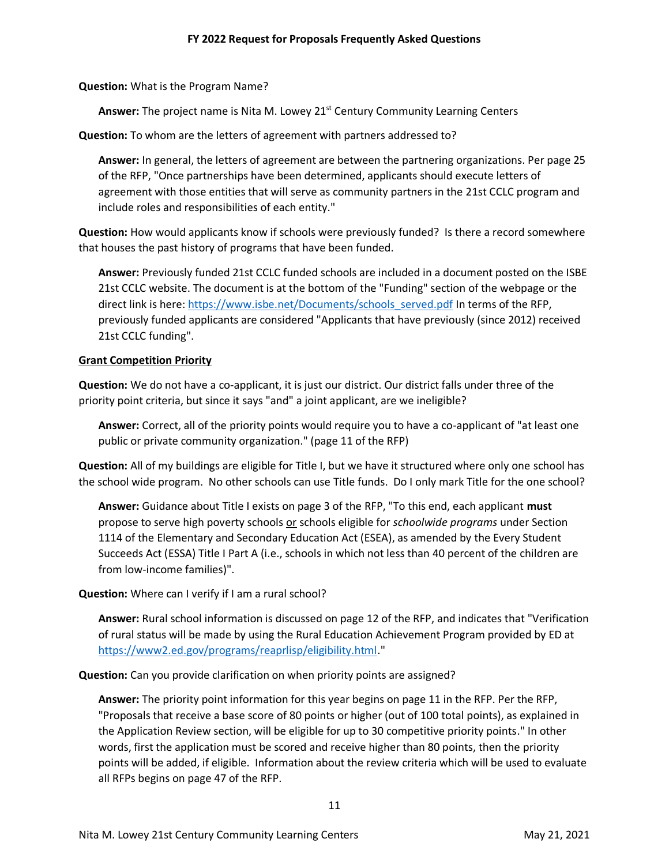**Question:** What is the Program Name?

Answer: The project name is Nita M. Lowey 21<sup>st</sup> Century Community Learning Centers

**Question:** To whom are the letters of agreement with partners addressed to?

**Answer:** In general, the letters of agreement are between the partnering organizations. Per page 25 of the RFP, "Once partnerships have been determined, applicants should execute letters of agreement with those entities that will serve as community partners in the 21st CCLC program and include roles and responsibilities of each entity."

**Question:** How would applicants know if schools were previously funded? Is there a record somewhere that houses the past history of programs that have been funded.

**Answer:** Previously funded 21st CCLC funded schools are included in a document posted on the ISBE 21st CCLC website. The document is at the bottom of the "Funding" section of the webpage or the direct link is here: https://www.isbe.net/Documents/schools\_served.pdf In terms of the RFP, previously funded applicants are considered "Applicants that have previously (since 2012) received 21st CCLC funding".

# **Grant Competition Priority**

**Question:** We do not have a co-applicant, it is just our district. Our district falls under three of the priority point criteria, but since it says "and" a joint applicant, are we ineligible?

**Answer:** Correct, all of the priority points would require you to have a co-applicant of "at least one public or private community organization." (page 11 of the RFP)

**Question:** All of my buildings are eligible for Title I, but we have it structured where only one school has the school wide program. No other schools can use Title funds. Do I only mark Title for the one school?

**Answer:** Guidance about Title I exists on page 3 of the RFP, "To this end, each applicant **must** propose to serve high poverty schools or schools eligible for *schoolwide programs* under Section 1114 of the Elementary and Secondary Education Act (ESEA), as amended by the Every Student Succeeds Act (ESSA) Title I Part A (i.e., schools in which not less than 40 percent of the children are from low-income families)".

**Question:** Where can I verify if I am a rural school?

**Answer:** Rural school information is discussed on page 12 of the RFP, and indicates that "Verification of rural status will be made by using the Rural Education Achievement Program provided by ED at [https://www2.ed.gov/programs/reaprlisp/eligibility.html.](https://www2.ed.gov/programs/reaprlisp/eligibility.html)"

**Question:** Can you provide clarification on when priority points are assigned?

**Answer:** The priority point information for this year begins on page 11 in the RFP. Per the RFP, "Proposals that receive a base score of 80 points or higher (out of 100 total points), as explained in the Application Review section, will be eligible for up to 30 competitive priority points." In other words, first the application must be scored and receive higher than 80 points, then the priority points will be added, if eligible. Information about the review criteria which will be used to evaluate all RFPs begins on page 47 of the RFP.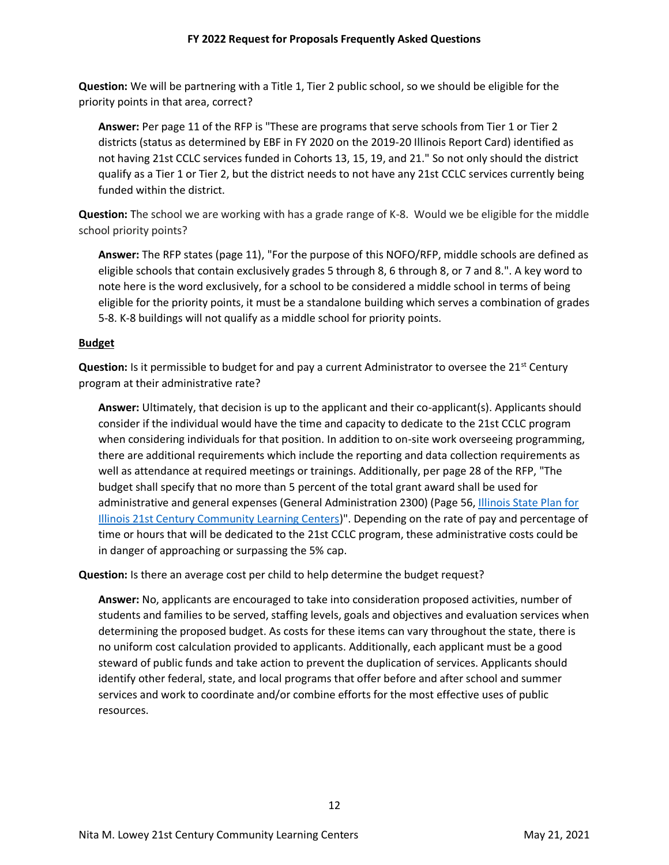**Question:** We will be partnering with a Title 1, Tier 2 public school, so we should be eligible for the priority points in that area, correct?

**Answer:** Per page 11 of the RFP is "These are programs that serve schools from Tier 1 or Tier 2 districts (status as determined by EBF in FY 2020 on the 2019-20 Illinois Report Card) identified as not having 21st CCLC services funded in Cohorts 13, 15, 19, and 21." So not only should the district qualify as a Tier 1 or Tier 2, but the district needs to not have any 21st CCLC services currently being funded within the district.

**Question:** The school we are working with has a grade range of K-8. Would we be eligible for the middle school priority points?

**Answer:** The RFP states (page 11), "For the purpose of this NOFO/RFP, middle schools are defined as eligible schools that contain exclusively grades 5 through 8, 6 through 8, or 7 and 8.". A key word to note here is the word exclusively, for a school to be considered a middle school in terms of being eligible for the priority points, it must be a standalone building which serves a combination of grades 5-8. K-8 buildings will not qualify as a middle school for priority points.

# **Budget**

**Question:** Is it permissible to budget for and pay a current Administrator to oversee the 21<sup>st</sup> Century program at their administrative rate?

**Answer:** Ultimately, that decision is up to the applicant and their co-applicant(s). Applicants should consider if the individual would have the time and capacity to dedicate to the 21st CCLC program when considering individuals for that position. In addition to on-site work overseeing programming, there are additional requirements which include the reporting and data collection requirements as well as attendance at required meetings or trainings. Additionally, per page 28 of the RFP, "The budget shall specify that no more than 5 percent of the total grant award shall be used for administrative and general expenses (General Administration 2300) (Page 56, Illinois State Plan for [Illinois 21st Century Community Learning Centers\)](https://www.isbe.net/Documents/21stCCLC_state_plan0711.pdf)". Depending on the rate of pay and percentage of time or hours that will be dedicated to the 21st CCLC program, these administrative costs could be in danger of approaching or surpassing the 5% cap.

**Question:** Is there an average cost per child to help determine the budget request?

**Answer:** No, applicants are encouraged to take into consideration proposed activities, number of students and families to be served, staffing levels, goals and objectives and evaluation services when determining the proposed budget. As costs for these items can vary throughout the state, there is no uniform cost calculation provided to applicants. Additionally, each applicant must be a good steward of public funds and take action to prevent the duplication of services. Applicants should identify other federal, state, and local programs that offer before and after school and summer services and work to coordinate and/or combine efforts for the most effective uses of public resources.